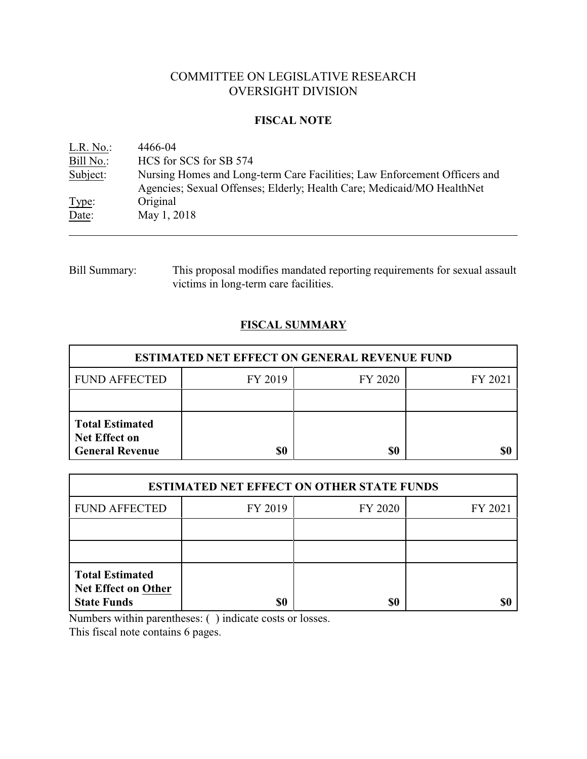## COMMITTEE ON LEGISLATIVE RESEARCH OVERSIGHT DIVISION

#### **FISCAL NOTE**

| L.R. No.  | 4466-04                                                                   |
|-----------|---------------------------------------------------------------------------|
| Bill No.: | HCS for SCS for SB 574                                                    |
| Subject:  | Nursing Homes and Long-term Care Facilities; Law Enforcement Officers and |
|           | Agencies; Sexual Offenses; Elderly; Health Care; Medicaid/MO Health Net   |
| Type:     | Original                                                                  |
| Date:     | May 1, 2018                                                               |
|           |                                                                           |

## Bill Summary: This proposal modifies mandated reporting requirements for sexual assault victims in long-term care facilities.

## **FISCAL SUMMARY**

| <b>ESTIMATED NET EFFECT ON GENERAL REVENUE FUND</b>                      |         |         |         |  |
|--------------------------------------------------------------------------|---------|---------|---------|--|
| <b>FUND AFFECTED</b>                                                     | FY 2019 | FY 2020 | FY 2021 |  |
|                                                                          |         |         |         |  |
| <b>Total Estimated</b><br><b>Net Effect on</b><br><b>General Revenue</b> | \$0     | \$0     |         |  |

| <b>ESTIMATED NET EFFECT ON OTHER STATE FUNDS</b>                           |         |         |         |  |
|----------------------------------------------------------------------------|---------|---------|---------|--|
| <b>FUND AFFECTED</b>                                                       | FY 2019 | FY 2020 | FY 2021 |  |
|                                                                            |         |         |         |  |
|                                                                            |         |         |         |  |
| <b>Total Estimated</b><br><b>Net Effect on Other</b><br><b>State Funds</b> | \$0     | \$0     |         |  |

Numbers within parentheses: ( ) indicate costs or losses.

This fiscal note contains 6 pages.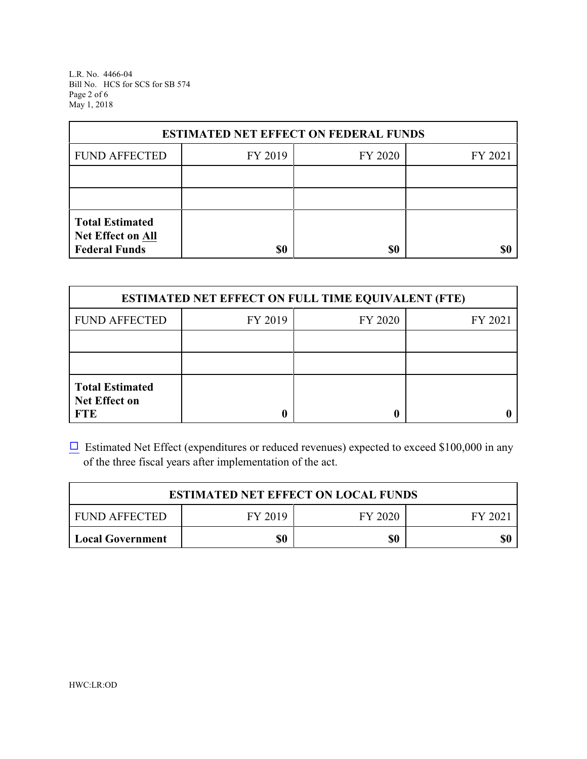L.R. No. 4466-04 Bill No. HCS for SCS for SB 574 Page 2 of 6 May 1, 2018

| <b>ESTIMATED NET EFFECT ON FEDERAL FUNDS</b>                        |         |         |         |  |  |
|---------------------------------------------------------------------|---------|---------|---------|--|--|
| <b>FUND AFFECTED</b>                                                | FY 2019 | FY 2020 | FY 2021 |  |  |
|                                                                     |         |         |         |  |  |
|                                                                     |         |         |         |  |  |
| <b>Total Estimated</b><br>Net Effect on All<br><b>Federal Funds</b> | \$0     | \$0     |         |  |  |

| <b>ESTIMATED NET EFFECT ON FULL TIME EQUIVALENT (FTE)</b>    |         |         |         |  |
|--------------------------------------------------------------|---------|---------|---------|--|
| <b>FUND AFFECTED</b>                                         | FY 2019 | FY 2020 | FY 2021 |  |
|                                                              |         |         |         |  |
|                                                              |         |         |         |  |
| <b>Total Estimated</b><br><b>Net Effect on</b><br><b>FTE</b> |         |         |         |  |

 $\Box$  Estimated Net Effect (expenditures or reduced revenues) expected to exceed \$100,000 in any of the three fiscal years after implementation of the act.

| <b>ESTIMATED NET EFFECT ON LOCAL FUNDS</b> |         |         |        |  |
|--------------------------------------------|---------|---------|--------|--|
| <b>FUND AFFECTED</b>                       | FY 2019 | FY 2020 | FY 202 |  |
| <b>Local Government</b>                    | \$0     | \$0     | \$0    |  |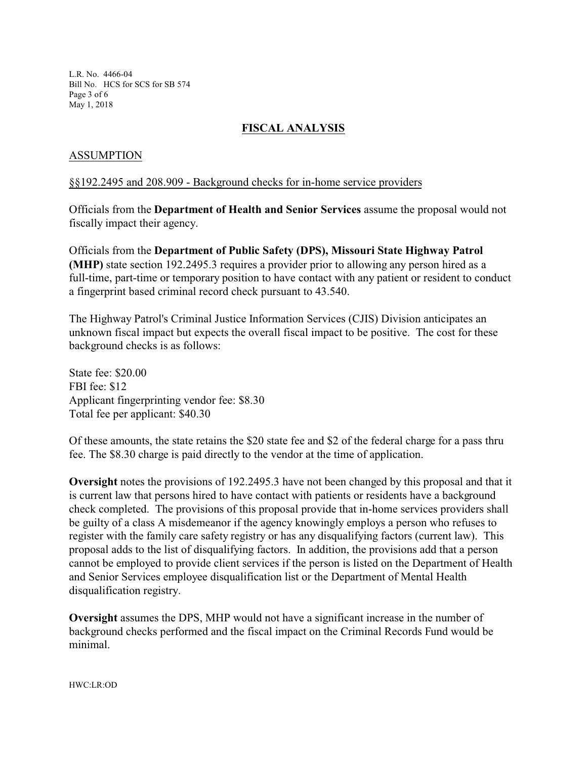L.R. No. 4466-04 Bill No. HCS for SCS for SB 574 Page 3 of 6 May 1, 2018

#### **FISCAL ANALYSIS**

#### ASSUMPTION

#### §§192.2495 and 208.909 - Background checks for in-home service providers

Officials from the **Department of Health and Senior Services** assume the proposal would not fiscally impact their agency.

Officials from the **Department of Public Safety (DPS), Missouri State Highway Patrol (MHP)** state section 192.2495.3 requires a provider prior to allowing any person hired as a full-time, part-time or temporary position to have contact with any patient or resident to conduct a fingerprint based criminal record check pursuant to 43.540.

The Highway Patrol's Criminal Justice Information Services (CJIS) Division anticipates an unknown fiscal impact but expects the overall fiscal impact to be positive. The cost for these background checks is as follows:

State fee: \$20.00 FBI fee: \$12 Applicant fingerprinting vendor fee: \$8.30 Total fee per applicant: \$40.30

Of these amounts, the state retains the \$20 state fee and \$2 of the federal charge for a pass thru fee. The \$8.30 charge is paid directly to the vendor at the time of application.

**Oversight** notes the provisions of 192.2495.3 have not been changed by this proposal and that it is current law that persons hired to have contact with patients or residents have a background check completed. The provisions of this proposal provide that in-home services providers shall be guilty of a class A misdemeanor if the agency knowingly employs a person who refuses to register with the family care safety registry or has any disqualifying factors (current law). This proposal adds to the list of disqualifying factors. In addition, the provisions add that a person cannot be employed to provide client services if the person is listed on the Department of Health and Senior Services employee disqualification list or the Department of Mental Health disqualification registry.

**Oversight** assumes the DPS, MHP would not have a significant increase in the number of background checks performed and the fiscal impact on the Criminal Records Fund would be minimal.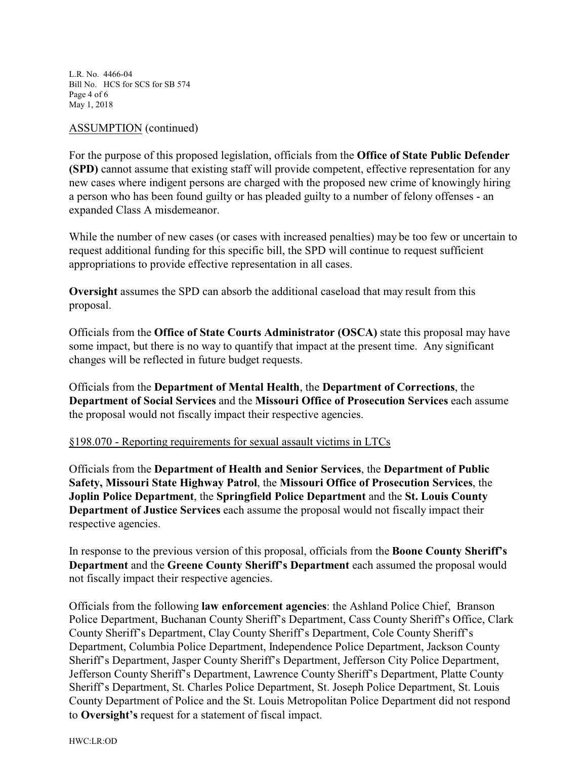L.R. No. 4466-04 Bill No. HCS for SCS for SB 574 Page 4 of 6 May 1, 2018

#### ASSUMPTION (continued)

For the purpose of this proposed legislation, officials from the **Office of State Public Defender (SPD)** cannot assume that existing staff will provide competent, effective representation for any new cases where indigent persons are charged with the proposed new crime of knowingly hiring a person who has been found guilty or has pleaded guilty to a number of felony offenses - an expanded Class A misdemeanor.

While the number of new cases (or cases with increased penalties) may be too few or uncertain to request additional funding for this specific bill, the SPD will continue to request sufficient appropriations to provide effective representation in all cases.

**Oversight** assumes the SPD can absorb the additional caseload that may result from this proposal.

Officials from the **Office of State Courts Administrator (OSCA)** state this proposal may have some impact, but there is no way to quantify that impact at the present time. Any significant changes will be reflected in future budget requests.

Officials from the **Department of Mental Health**, the **Department of Corrections**, the **Department of Social Services** and the **Missouri Office of Prosecution Services** each assume the proposal would not fiscally impact their respective agencies.

#### §198.070 - Reporting requirements for sexual assault victims in LTCs

Officials from the **Department of Health and Senior Services**, the **Department of Public Safety, Missouri State Highway Patrol**, the **Missouri Office of Prosecution Services**, the **Joplin Police Department**, the **Springfield Police Department** and the **St. Louis County Department of Justice Services** each assume the proposal would not fiscally impact their respective agencies.

In response to the previous version of this proposal, officials from the **Boone County Sheriff's Department** and the **Greene County Sheriff's Department** each assumed the proposal would not fiscally impact their respective agencies.

Officials from the following **law enforcement agencies**: the Ashland Police Chief, Branson Police Department, Buchanan County Sheriff's Department, Cass County Sheriff's Office, Clark County Sheriff's Department, Clay County Sheriff's Department, Cole County Sheriff's Department, Columbia Police Department, Independence Police Department, Jackson County Sheriff's Department, Jasper County Sheriff's Department, Jefferson City Police Department, Jefferson County Sheriff's Department, Lawrence County Sheriff's Department, Platte County Sheriff's Department, St. Charles Police Department, St. Joseph Police Department, St. Louis County Department of Police and the St. Louis Metropolitan Police Department did not respond to **Oversight's** request for a statement of fiscal impact.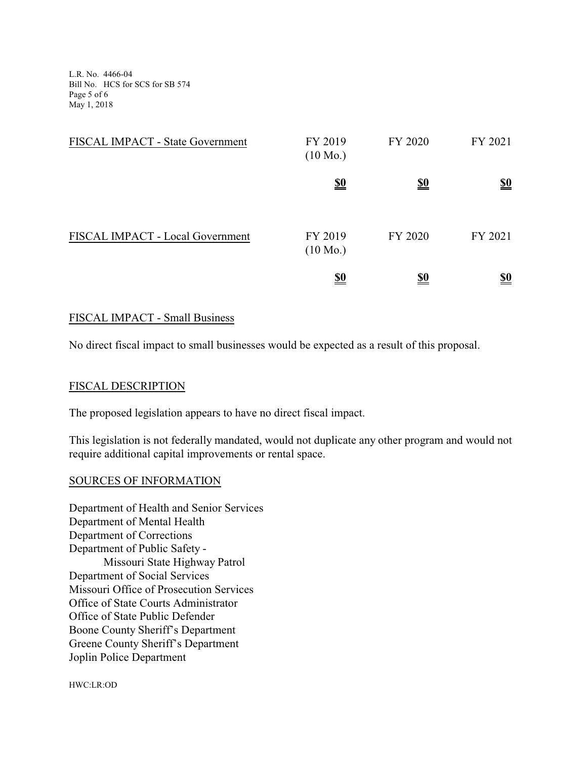L.R. No. 4466-04 Bill No. HCS for SCS for SB 574 Page 5 of 6 May 1, 2018

| FISCAL IMPACT - State Government | FY 2019<br>$(10 \text{ Mo.})$ | FY 2020    | FY 2021    |
|----------------------------------|-------------------------------|------------|------------|
|                                  | <u>\$0</u>                    | <u>\$0</u> | <u>\$0</u> |
| FISCAL IMPACT - Local Government | FY 2019<br>$(10 \text{ Mo.})$ | FY 2020    | FY 2021    |
|                                  | <u>\$0</u>                    | <u>\$0</u> | <u>\$0</u> |

#### FISCAL IMPACT - Small Business

No direct fiscal impact to small businesses would be expected as a result of this proposal.

#### FISCAL DESCRIPTION

The proposed legislation appears to have no direct fiscal impact.

This legislation is not federally mandated, would not duplicate any other program and would not require additional capital improvements or rental space.

#### SOURCES OF INFORMATION

Department of Health and Senior Services Department of Mental Health Department of Corrections Department of Public Safety - Missouri State Highway Patrol Department of Social Services Missouri Office of Prosecution Services Office of State Courts Administrator Office of State Public Defender Boone County Sheriff's Department Greene County Sheriff's Department Joplin Police Department